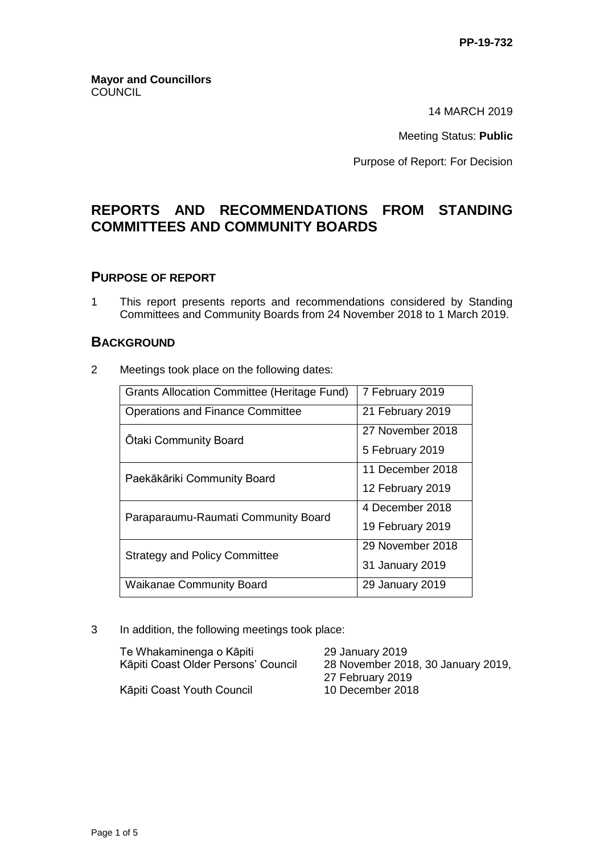14 MARCH 2019

Meeting Status: **Public**

Purpose of Report: For Decision

# **REPORTS AND RECOMMENDATIONS FROM STANDING COMMITTEES AND COMMUNITY BOARDS**

## **PURPOSE OF REPORT**

1 This report presents reports and recommendations considered by Standing Committees and Community Boards from 24 November 2018 to 1 March 2019.

## **BACKGROUND**

2 Meetings took place on the following dates:

| <b>Grants Allocation Committee (Heritage Fund)</b> | 7 February 2019  |
|----------------------------------------------------|------------------|
| <b>Operations and Finance Committee</b>            | 21 February 2019 |
| <b>Otaki Community Board</b>                       | 27 November 2018 |
|                                                    | 5 February 2019  |
| Paekākāriki Community Board                        | 11 December 2018 |
|                                                    | 12 February 2019 |
| Paraparaumu-Raumati Community Board                | 4 December 2018  |
|                                                    | 19 February 2019 |
| <b>Strategy and Policy Committee</b>               | 29 November 2018 |
|                                                    | 31 January 2019  |
| <b>Waikanae Community Board</b>                    | 29 January 2019  |

3 In addition, the following meetings took place:

| Te Whakaminenga o Kāpiti            |  |
|-------------------------------------|--|
| Kāpiti Coast Older Persons' Council |  |

29 January 2019 28 November 2018, 30 January 2019, 27 February 2019

Kāpiti Coast Youth Council 10 December 2018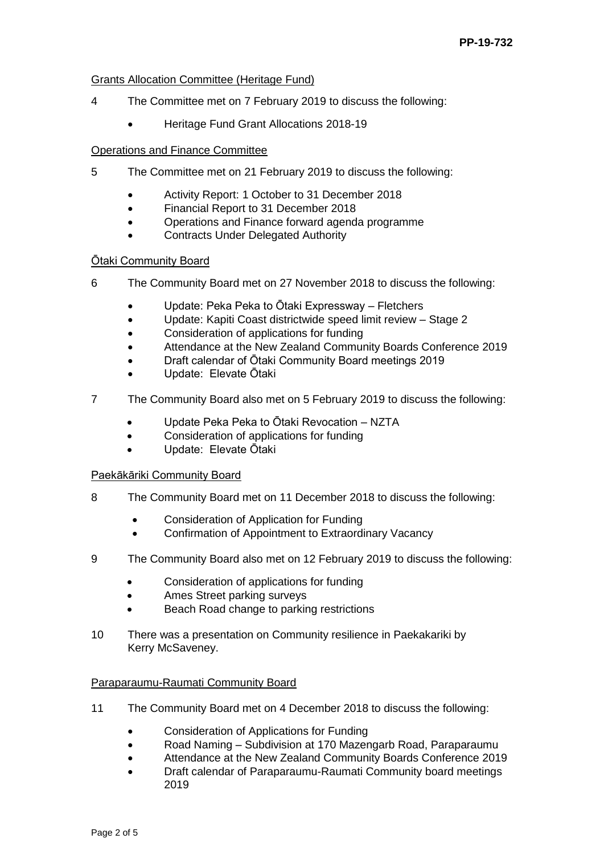#### Grants Allocation Committee (Heritage Fund)

- 4 The Committee met on 7 February 2019 to discuss the following:
	- Heritage Fund Grant Allocations 2018-19

#### Operations and Finance Committee

- 5 The Committee met on 21 February 2019 to discuss the following:
	- Activity Report: 1 October to 31 December 2018
	- Financial Report to 31 December 2018
	- Operations and Finance forward agenda programme
	- Contracts Under Delegated Authority

## Ōtaki Community Board

- 6 The Community Board met on 27 November 2018 to discuss the following:
	- Update: Peka Peka to Ōtaki Expressway Fletchers
	- Update: Kapiti Coast districtwide speed limit review Stage 2
	- Consideration of applications for funding
	- Attendance at the New Zealand Community Boards Conference 2019
	- Draft calendar of Ōtaki Community Board meetings 2019
	- Update: Elevate Ōtaki
- 7 The Community Board also met on 5 February 2019 to discuss the following:
	- Update Peka Peka to Ōtaki Revocation NZTA
	- Consideration of applications for funding
	- Update: Elevate Ōtaki

## Paekākāriki Community Board

- 8 The Community Board met on 11 December 2018 to discuss the following:
	- Consideration of Application for Funding
	- Confirmation of Appointment to Extraordinary Vacancy
- 9 The Community Board also met on 12 February 2019 to discuss the following:
	- Consideration of applications for funding
	- Ames Street parking surveys
	- Beach Road change to parking restrictions
- 10 There was a presentation on Community resilience in Paekakariki by Kerry McSaveney.

## Paraparaumu-Raumati Community Board

- 11 The Community Board met on 4 December 2018 to discuss the following:
	- Consideration of Applications for Funding
	- Road Naming Subdivision at 170 Mazengarb Road, Paraparaumu
	- Attendance at the New Zealand Community Boards Conference 2019
	- Draft calendar of Paraparaumu-Raumati Community board meetings 2019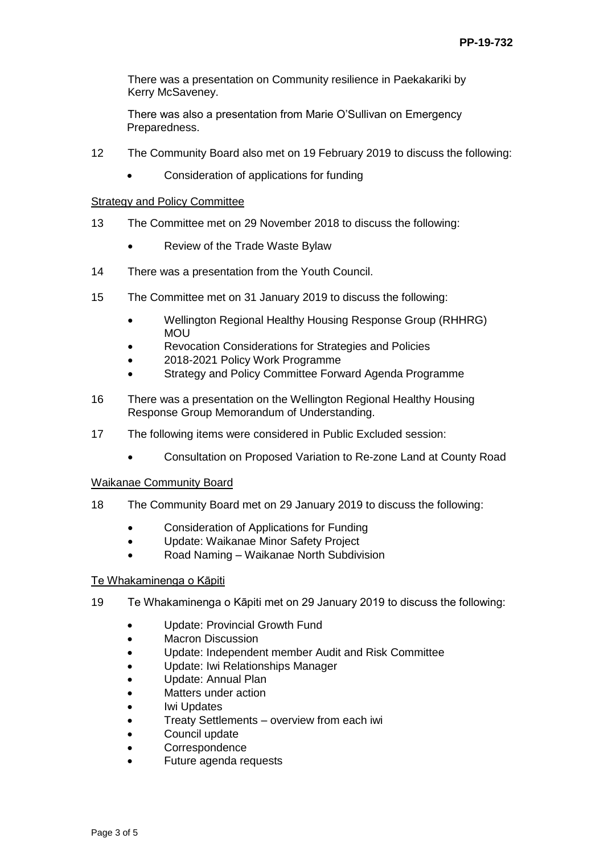There was a presentation on Community resilience in Paekakariki by Kerry McSaveney.

There was also a presentation from Marie O'Sullivan on Emergency Preparedness.

- 12 The Community Board also met on 19 February 2019 to discuss the following:
	- Consideration of applications for funding

#### Strategy and Policy Committee

- 13 The Committee met on 29 November 2018 to discuss the following:
	- Review of the Trade Waste Bylaw
- 14 There was a presentation from the Youth Council.
- 15 The Committee met on 31 January 2019 to discuss the following:
	- Wellington Regional Healthy Housing Response Group (RHHRG) MOU
	- Revocation Considerations for Strategies and Policies
	- 2018-2021 Policy Work Programme
	- Strategy and Policy Committee Forward Agenda Programme
- 16 There was a presentation on the Wellington Regional Healthy Housing Response Group Memorandum of Understanding.
- 17 The following items were considered in Public Excluded session:
	- Consultation on Proposed Variation to Re-zone Land at County Road

#### Waikanae Community Board

- 18 The Community Board met on 29 January 2019 to discuss the following:
	- Consideration of Applications for Funding
	- Update: Waikanae Minor Safety Project
	- Road Naming Waikanae North Subdivision

#### Te Whakaminenga o Kāpiti

- 19 Te Whakaminenga o Kāpiti met on 29 January 2019 to discuss the following:
	- Update: Provincial Growth Fund
	- Macron Discussion
	- Update: Independent member Audit and Risk Committee
	- Update: Iwi Relationships Manager
	- Update: Annual Plan
	- Matters under action
	- Iwi Updates
	- Treaty Settlements overview from each iwi
	- Council update
	- Correspondence
	- Future agenda requests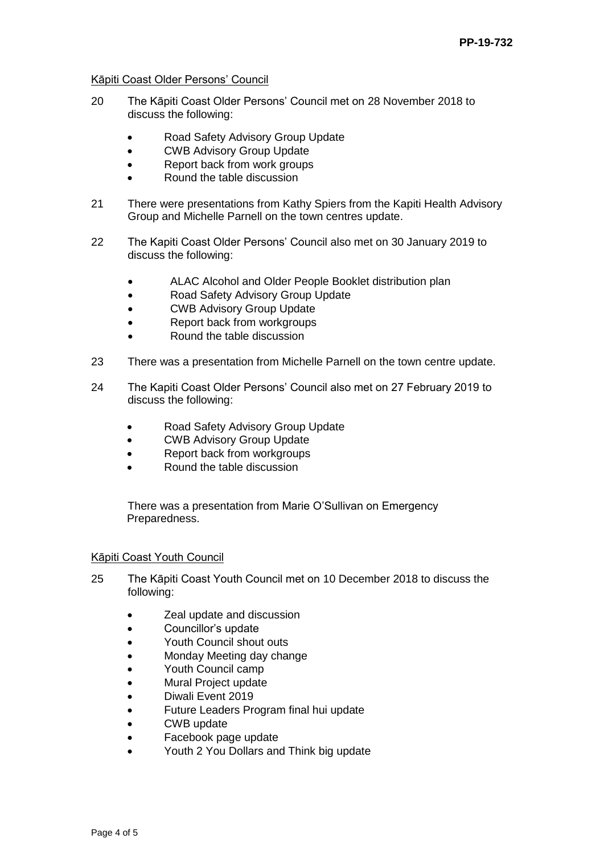#### Kāpiti Coast Older Persons' Council

- 20 The Kāpiti Coast Older Persons' Council met on 28 November 2018 to discuss the following:
	- Road Safety Advisory Group Update
	- CWB Advisory Group Update
	- Report back from work groups
	- Round the table discussion
- 21 There were presentations from Kathy Spiers from the Kapiti Health Advisory Group and Michelle Parnell on the town centres update.
- 22 The Kapiti Coast Older Persons' Council also met on 30 January 2019 to discuss the following:
	- ALAC Alcohol and Older People Booklet distribution plan
	- Road Safety Advisory Group Update
	- CWB Advisory Group Update
	- Report back from workgroups
	- Round the table discussion
- 23 There was a presentation from Michelle Parnell on the town centre update.
- 24 The Kapiti Coast Older Persons' Council also met on 27 February 2019 to discuss the following:
	- Road Safety Advisory Group Update
	- CWB Advisory Group Update
	- Report back from workgroups
	- Round the table discussion

There was a presentation from Marie O'Sullivan on Emergency Preparedness.

#### Kāpiti Coast Youth Council

- 25 The Kāpiti Coast Youth Council met on 10 December 2018 to discuss the following:
	- **Zeal update and discussion**
	- Councillor's update
	- Youth Council shout outs
	- Monday Meeting day change
	- Youth Council camp
	- Mural Project update
	- Diwali Event 2019
	- Future Leaders Program final hui update
	- CWB update
	- Facebook page update
	- Youth 2 You Dollars and Think big update